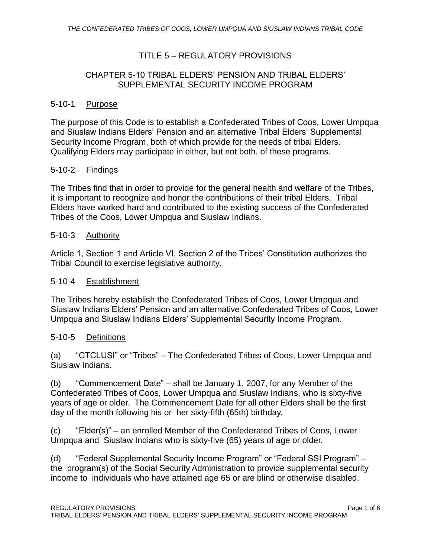# TITLE 5 – REGULATORY PROVISIONS

#### CHAPTER 5-10 TRIBAL ELDERS' PENSION AND TRIBAL ELDERS' SUPPLEMENTAL SECURITY INCOME PROGRAM

#### 5-10-1 Purpose

The purpose of this Code is to establish a Confederated Tribes of Coos, Lower Umpqua and Siuslaw Indians Elders' Pension and an alternative Tribal Elders' Supplemental Security Income Program, both of which provide for the needs of tribal Elders. Qualifying Elders may participate in either, but not both, of these programs.

#### 5-10-2 Findings

The Tribes find that in order to provide for the general health and welfare of the Tribes, it is important to recognize and honor the contributions of their tribal Elders. Tribal Elders have worked hard and contributed to the existing success of the Confederated Tribes of the Coos, Lower Umpqua and Siuslaw Indians.

#### 5-10-3 Authority

Article 1, Section 1 and Article VI, Section 2 of the Tribes' Constitution authorizes the Tribal Council to exercise legislative authority.

#### 5-10-4 Establishment

The Tribes hereby establish the Confederated Tribes of Coos, Lower Umpqua and Siuslaw Indians Elders' Pension and an alternative Confederated Tribes of Coos, Lower Umpqua and Siuslaw Indians Elders' Supplemental Security Income Program.

#### 5-10-5 Definitions

(a) "CTCLUSI" or "Tribes" – The Confederated Tribes of Coos, Lower Umpqua and Siuslaw Indians.

(b) "Commencement Date" – shall be January 1, 2007, for any Member of the Confederated Tribes of Coos, Lower Umpqua and Siuslaw Indians, who is sixty-five years of age or older. The Commencement Date for all other Elders shall be the first day of the month following his or her sixty-fifth (65th) birthday.

(c) "Elder(s)" – an enrolled Member of the Confederated Tribes of Coos, Lower Umpqua and Siuslaw Indians who is sixty-five (65) years of age or older.

(d) "Federal Supplemental Security Income Program" or "Federal SSI Program" – the program(s) of the Social Security Administration to provide supplemental security income to individuals who have attained age 65 or are blind or otherwise disabled.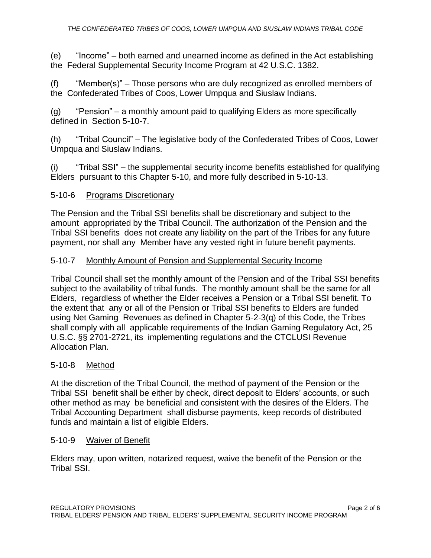(e) "Income" – both earned and unearned income as defined in the Act establishing the Federal Supplemental Security Income Program at 42 U.S.C. 1382.

(f) "Member(s)" – Those persons who are duly recognized as enrolled members of the Confederated Tribes of Coos, Lower Umpqua and Siuslaw Indians.

(g) "Pension" – a monthly amount paid to qualifying Elders as more specifically defined in Section 5-10-7.

(h) "Tribal Council" – The legislative body of the Confederated Tribes of Coos, Lower Umpqua and Siuslaw Indians.

(i) "Tribal SSI" – the supplemental security income benefits established for qualifying Elders pursuant to this Chapter 5-10, and more fully described in 5-10-13.

# 5-10-6 Programs Discretionary

The Pension and the Tribal SSI benefits shall be discretionary and subject to the amount appropriated by the Tribal Council. The authorization of the Pension and the Tribal SSI benefits does not create any liability on the part of the Tribes for any future payment, nor shall any Member have any vested right in future benefit payments.

# 5-10-7 Monthly Amount of Pension and Supplemental Security Income

Tribal Council shall set the monthly amount of the Pension and of the Tribal SSI benefits subject to the availability of tribal funds. The monthly amount shall be the same for all Elders, regardless of whether the Elder receives a Pension or a Tribal SSI benefit. To the extent that any or all of the Pension or Tribal SSI benefits to Elders are funded using Net Gaming Revenues as defined in Chapter 5-2-3(q) of this Code, the Tribes shall comply with all applicable requirements of the Indian Gaming Regulatory Act, 25 U.S.C. §§ 2701-2721, its implementing regulations and the CTCLUSI Revenue Allocation Plan.

#### 5-10-8 Method

At the discretion of the Tribal Council, the method of payment of the Pension or the Tribal SSI benefit shall be either by check, direct deposit to Elders' accounts, or such other method as may be beneficial and consistent with the desires of the Elders. The Tribal Accounting Department shall disburse payments, keep records of distributed funds and maintain a list of eligible Elders.

#### 5-10-9 Waiver of Benefit

Elders may, upon written, notarized request, waive the benefit of the Pension or the Tribal SSI.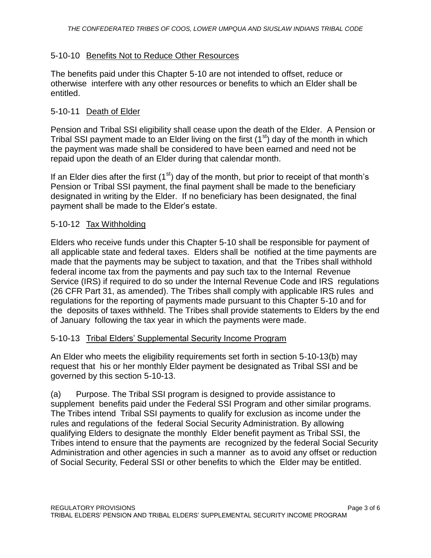## 5-10-10 Benefits Not to Reduce Other Resources

The benefits paid under this Chapter 5-10 are not intended to offset, reduce or otherwise interfere with any other resources or benefits to which an Elder shall be entitled.

## 5-10-11 Death of Elder

Pension and Tribal SSI eligibility shall cease upon the death of the Elder. A Pension or Tribal SSI payment made to an Elder living on the first  $(1<sup>st</sup>)$  day of the month in which the payment was made shall be considered to have been earned and need not be repaid upon the death of an Elder during that calendar month.

If an Elder dies after the first  $(1<sup>st</sup>)$  day of the month, but prior to receipt of that month's Pension or Tribal SSI payment, the final payment shall be made to the beneficiary designated in writing by the Elder. If no beneficiary has been designated, the final payment shall be made to the Elder's estate.

# 5-10-12 Tax Withholding

Elders who receive funds under this Chapter 5-10 shall be responsible for payment of all applicable state and federal taxes. Elders shall be notified at the time payments are made that the payments may be subject to taxation, and that the Tribes shall withhold federal income tax from the payments and pay such tax to the Internal Revenue Service (IRS) if required to do so under the Internal Revenue Code and IRS regulations (26 CFR Part 31, as amended). The Tribes shall comply with applicable IRS rules and regulations for the reporting of payments made pursuant to this Chapter 5-10 and for the deposits of taxes withheld. The Tribes shall provide statements to Elders by the end of January following the tax year in which the payments were made.

#### 5-10-13 Tribal Elders' Supplemental Security Income Program

An Elder who meets the eligibility requirements set forth in section 5-10-13(b) may request that his or her monthly Elder payment be designated as Tribal SSI and be governed by this section 5-10-13.

(a) Purpose. The Tribal SSI program is designed to provide assistance to supplement benefits paid under the Federal SSI Program and other similar programs. The Tribes intend Tribal SSI payments to qualify for exclusion as income under the rules and regulations of the federal Social Security Administration. By allowing qualifying Elders to designate the monthly Elder benefit payment as Tribal SSI, the Tribes intend to ensure that the payments are recognized by the federal Social Security Administration and other agencies in such a manner as to avoid any offset or reduction of Social Security, Federal SSI or other benefits to which the Elder may be entitled.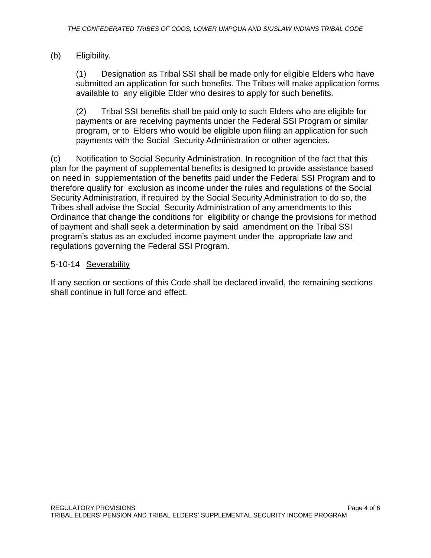# (b) Eligibility.

(1) Designation as Tribal SSI shall be made only for eligible Elders who have submitted an application for such benefits. The Tribes will make application forms available to any eligible Elder who desires to apply for such benefits.

(2) Tribal SSI benefits shall be paid only to such Elders who are eligible for payments or are receiving payments under the Federal SSI Program or similar program, or to Elders who would be eligible upon filing an application for such payments with the Social Security Administration or other agencies.

(c) Notification to Social Security Administration. In recognition of the fact that this plan for the payment of supplemental benefits is designed to provide assistance based on need in supplementation of the benefits paid under the Federal SSI Program and to therefore qualify for exclusion as income under the rules and regulations of the Social Security Administration, if required by the Social Security Administration to do so, the Tribes shall advise the Social Security Administration of any amendments to this Ordinance that change the conditions for eligibility or change the provisions for method of payment and shall seek a determination by said amendment on the Tribal SSI program's status as an excluded income payment under the appropriate law and regulations governing the Federal SSI Program.

# 5-10-14 Severability

If any section or sections of this Code shall be declared invalid, the remaining sections shall continue in full force and effect.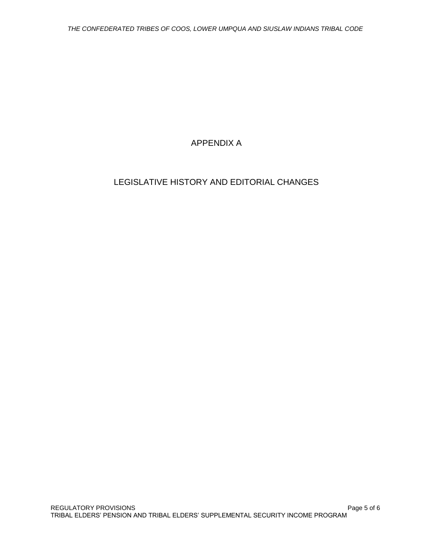# APPENDIX A

# LEGISLATIVE HISTORY AND EDITORIAL CHANGES